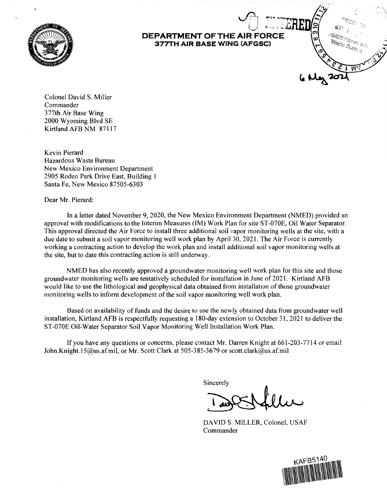

## $\bigcup$  4, **ALL DEPARTMENT OF THE AIR FORCE** : **377TH AIR BASE WING (AFGSC)**

 $\bigoplus$  runne $\bigotimes$ **<sup>V</sup>**f 'l <sup>~</sup>... *---.,.,R* .... ; I : .:.. **<sup>o</sup>**

Colonel David S. Miller Commander 377th Air Base Wing 2000 Wyoming Blvd SE Kirtland AFB NM 87117

Kevin Pierard Hazardous Waste Bureau New Mexico Environment Department 2905 Rodeo Park Drive East, Building 1 Santa Fe, New Mexico 87505-6303

Dear Mr. Pierard:

In a letter dated November 9, 2020, the New Mexico Environment Department (NMED) provided an approval with modifications to the Interim Measures (IM) Work Plan for site ST-070E, Oil Water Separator. This approval directed the Air Force to install three additional soil vapor monitoring wells at the site, with a due date to submit a soil vapor monitoring well work plan by April 30, 2021. The Air Force is currently working a contracting action to develop the work plan and install additional soil vapor monitoring wells at the site, but to date this contracting action is still underway.

NMED has also recently approved a groundwater monitoring well work plan for this site and those groundwater monitoring wells are tentatively scheduled for installation in June of 2021. Kirtland AFB would like to use the lithological and geophysical data obtained from installation of those groundwater monitoring wells to inform development of the soil vapor monitoring well work plan.

Based on availability of funds and the desire to use the newly obtained data from groundwater well installation, Kirtland AFB is respectfully requesting a 180-day extension to October 31, 2021 to deliver the ST-070E Oil-Water Separator Soil Vapor Monitoring Well Installation Work Plan.

If you have any questions or concerns, please contact Mr. Darren Knight at 661-203-7714 or email John.Knight.15@us.af.mil, or Mr. Scott Clark at 505-385-3679 or scott.clark@us.af.mil

Sincerely

DAVID S. MILLER, Colonel, USAF Commander